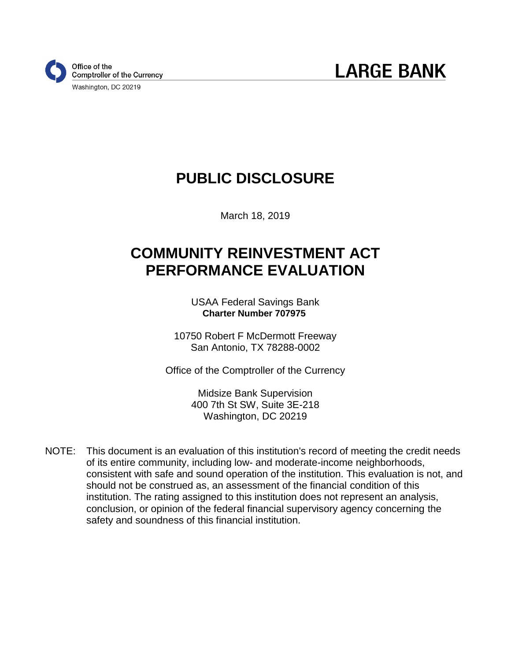

# **PUBLIC DISCLOSURE**

March 18, 2019

# **COMMUNITY REINVESTMENT ACT PERFORMANCE EVALUATION**

USAA Federal Savings Bank  **Charter Number 707975**

10750 Robert F McDermott Freeway San Antonio, TX 78288-0002

Office of the Comptroller of the Currency

Midsize Bank Supervision 400 7th St SW, Suite 3E-218 Washington, DC 20219

NOTE: This document is an evaluation of this institution's record of meeting the credit needs of its entire community, including low- and moderate-income neighborhoods, consistent with safe and sound operation of the institution. This evaluation is not, and should not be construed as, an assessment of the financial condition of this institution. The rating assigned to this institution does not represent an analysis, conclusion, or opinion of the federal financial supervisory agency concerning the safety and soundness of this financial institution.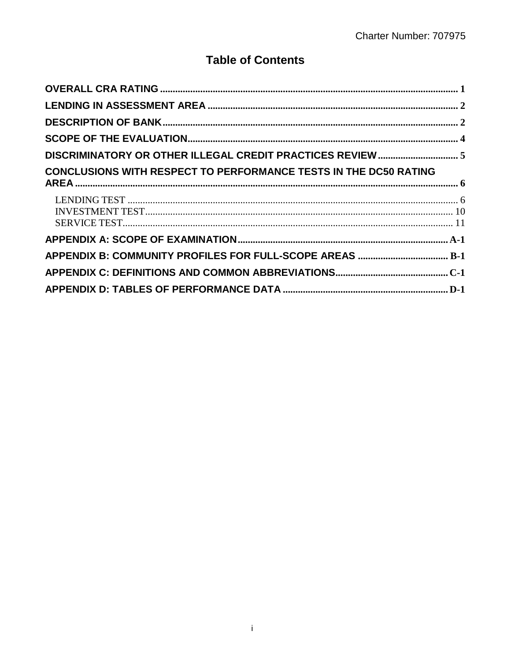## **Table of Contents**

| DISCRIMINATORY OR OTHER ILLEGAL CREDIT PRACTICES REVIEW  5              |  |
|-------------------------------------------------------------------------|--|
| <b>CONCLUSIONS WITH RESPECT TO PERFORMANCE TESTS IN THE DC50 RATING</b> |  |
|                                                                         |  |
|                                                                         |  |
| APPENDIX B: COMMUNITY PROFILES FOR FULL-SCOPE AREAS  B-1                |  |
|                                                                         |  |
|                                                                         |  |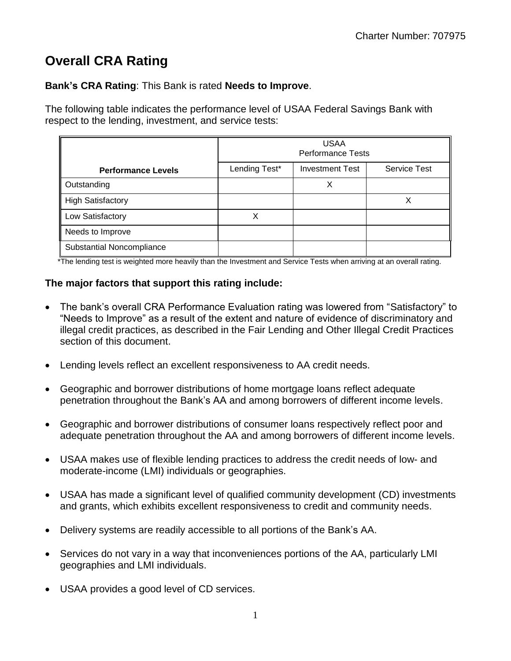## <span id="page-2-0"></span>**Overall CRA Rating**

**Bank's CRA Rating**: This Bank is rated **Needs to Improve**.

The following table indicates the performance level of USAA Federal Savings Bank with respect to the lending, investment, and service tests:

|                           | <b>USAA</b><br><b>Performance Tests</b> |                        |                     |  |  |  |  |  |  |  |
|---------------------------|-----------------------------------------|------------------------|---------------------|--|--|--|--|--|--|--|
| <b>Performance Levels</b> | Lending Test*                           | <b>Investment Test</b> | <b>Service Test</b> |  |  |  |  |  |  |  |
| Outstanding               |                                         | Χ                      |                     |  |  |  |  |  |  |  |
| <b>High Satisfactory</b>  |                                         |                        |                     |  |  |  |  |  |  |  |
| Low Satisfactory          |                                         |                        |                     |  |  |  |  |  |  |  |
| Needs to Improve          |                                         |                        |                     |  |  |  |  |  |  |  |
| Substantial Noncompliance |                                         |                        |                     |  |  |  |  |  |  |  |

\*The lending test is weighted more heavily than the Investment and Service Tests when arriving at an overall rating.

#### **The major factors that support this rating include:**

- The bank's overall CRA Performance Evaluation rating was lowered from "Satisfactory" to "Needs to Improve" as a result of the extent and nature of evidence of discriminatory and illegal credit practices, as described in the Fair Lending and Other Illegal Credit Practices section of this document.
- Lending levels reflect an excellent responsiveness to AA credit needs.
- Geographic and borrower distributions of home mortgage loans reflect adequate penetration throughout the Bank's AA and among borrowers of different income levels.
- Geographic and borrower distributions of consumer loans respectively reflect poor and adequate penetration throughout the AA and among borrowers of different income levels.
- USAA makes use of flexible lending practices to address the credit needs of low- and moderate-income (LMI) individuals or geographies.
- USAA has made a significant level of qualified community development (CD) investments and grants, which exhibits excellent responsiveness to credit and community needs.
- Delivery systems are readily accessible to all portions of the Bank's AA.
- Services do not vary in a way that inconveniences portions of the AA, particularly LMI geographies and LMI individuals.
- USAA provides a good level of CD services.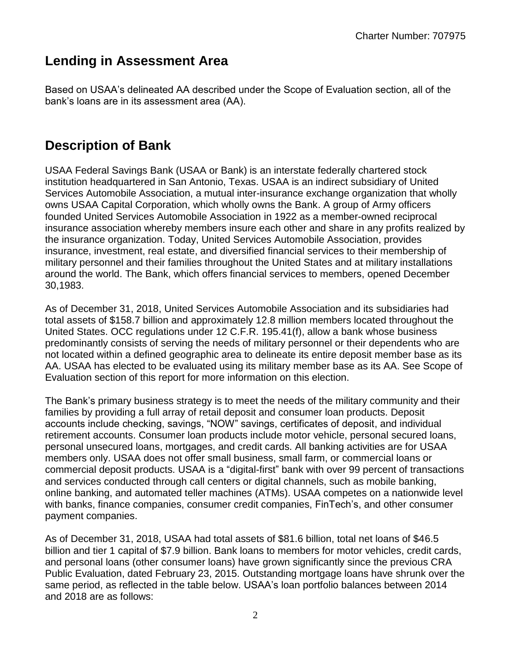## <span id="page-3-0"></span>**Lending in Assessment Area**

Based on USAA's delineated AA described under the Scope of Evaluation section, all of the bank's loans are in its assessment area (AA).

## <span id="page-3-1"></span>**Description of Bank**

USAA Federal Savings Bank (USAA or Bank) is an interstate federally chartered stock institution headquartered in San Antonio, Texas. USAA is an indirect subsidiary of United Services Automobile Association, a mutual inter-insurance exchange organization that wholly owns USAA Capital Corporation, which wholly owns the Bank. A group of Army officers founded United Services Automobile Association in 1922 as a member-owned reciprocal insurance association whereby members insure each other and share in any profits realized by the insurance organization. Today, United Services Automobile Association, provides insurance, investment, real estate, and diversified financial services to their membership of military personnel and their families throughout the United States and at military installations around the world. The Bank, which offers financial services to members, opened December 30,1983.

As of December 31, 2018, United Services Automobile Association and its subsidiaries had total assets of \$158.7 billion and approximately 12.8 million members located throughout the United States. OCC regulations under 12 C.F.R. 195.41(f), allow a bank whose business predominantly consists of serving the needs of military personnel or their dependents who are not located within a defined geographic area to delineate its entire deposit member base as its AA. USAA has elected to be evaluated using its military member base as its AA. See Scope of Evaluation section of this report for more information on this election.

The Bank's primary business strategy is to meet the needs of the military community and their families by providing a full array of retail deposit and consumer loan products. Deposit accounts include checking, savings, "NOW" savings, certificates of deposit, and individual retirement accounts. Consumer loan products include motor vehicle, personal secured loans, personal unsecured loans, mortgages, and credit cards. All banking activities are for USAA members only. USAA does not offer small business, small farm, or commercial loans or commercial deposit products. USAA is a "digital-first" bank with over 99 percent of transactions and services conducted through call centers or digital channels, such as mobile banking, online banking, and automated teller machines (ATMs). USAA competes on a nationwide level with banks, finance companies, consumer credit companies, FinTech's, and other consumer payment companies.

As of December 31, 2018, USAA had total assets of \$81.6 billion, total net loans of \$46.5 billion and tier 1 capital of \$7.9 billion. Bank loans to members for motor vehicles, credit cards, and personal loans (other consumer loans) have grown significantly since the previous CRA Public Evaluation, dated February 23, 2015. Outstanding mortgage loans have shrunk over the same period, as reflected in the table below. USAA's loan portfolio balances between 2014 and 2018 are as follows: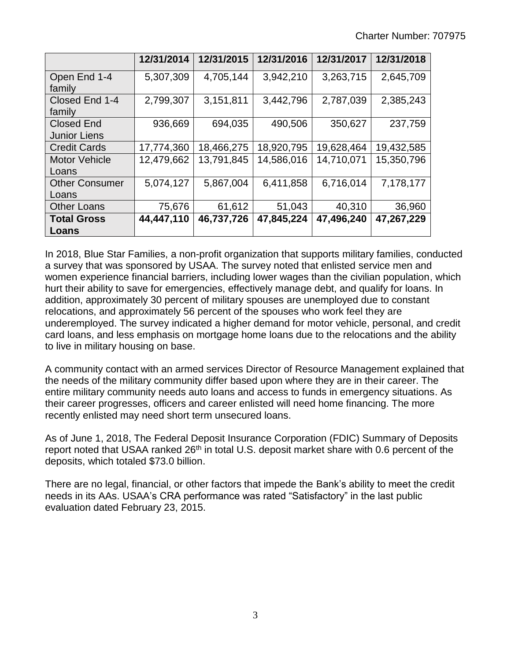|                       | 12/31/2014 | 12/31/2015 | 12/31/2016 | 12/31/2017 | 12/31/2018 |
|-----------------------|------------|------------|------------|------------|------------|
| Open End 1-4          | 5,307,309  | 4,705,144  | 3,942,210  | 3,263,715  | 2,645,709  |
| family                |            |            |            |            |            |
| Closed End 1-4        | 2,799,307  | 3,151,811  | 3,442,796  | 2,787,039  | 2,385,243  |
| family                |            |            |            |            |            |
| <b>Closed End</b>     | 936,669    | 694,035    | 490,506    | 350,627    | 237,759    |
| <b>Junior Liens</b>   |            |            |            |            |            |
| <b>Credit Cards</b>   | 17,774,360 | 18,466,275 | 18,920,795 | 19,628,464 | 19,432,585 |
| <b>Motor Vehicle</b>  | 12,479,662 | 13,791,845 | 14,586,016 | 14,710,071 | 15,350,796 |
| Loans                 |            |            |            |            |            |
| <b>Other Consumer</b> | 5,074,127  | 5,867,004  | 6,411,858  | 6,716,014  | 7,178,177  |
| Loans                 |            |            |            |            |            |
| <b>Other Loans</b>    | 75,676     | 61,612     | 51,043     | 40,310     | 36,960     |
| <b>Total Gross</b>    | 44,447,110 | 46,737,726 | 47,845,224 | 47,496,240 | 47,267,229 |
| Loans                 |            |            |            |            |            |

In 2018, Blue Star Families, a non-profit organization that supports military families, conducted a survey that was sponsored by USAA. The survey noted that enlisted service men and women experience financial barriers, including lower wages than the civilian population, which hurt their ability to save for emergencies, effectively manage debt, and qualify for loans. In addition, approximately 30 percent of military spouses are unemployed due to constant relocations, and approximately 56 percent of the spouses who work feel they are underemployed. The survey indicated a higher demand for motor vehicle, personal, and credit card loans, and less emphasis on mortgage home loans due to the relocations and the ability to live in military housing on base.

A community contact with an armed services Director of Resource Management explained that the needs of the military community differ based upon where they are in their career. The entire military community needs auto loans and access to funds in emergency situations. As their career progresses, officers and career enlisted will need home financing. The more recently enlisted may need short term unsecured loans.

As of June 1, 2018, The Federal Deposit Insurance Corporation (FDIC) Summary of Deposits report noted that USAA ranked 26<sup>th</sup> in total U.S. deposit market share with 0.6 percent of the deposits, which totaled \$73.0 billion.

There are no legal, financial, or other factors that impede the Bank's ability to meet the credit needs in its AAs. USAA's CRA performance was rated "Satisfactory" in the last public evaluation dated February 23, 2015.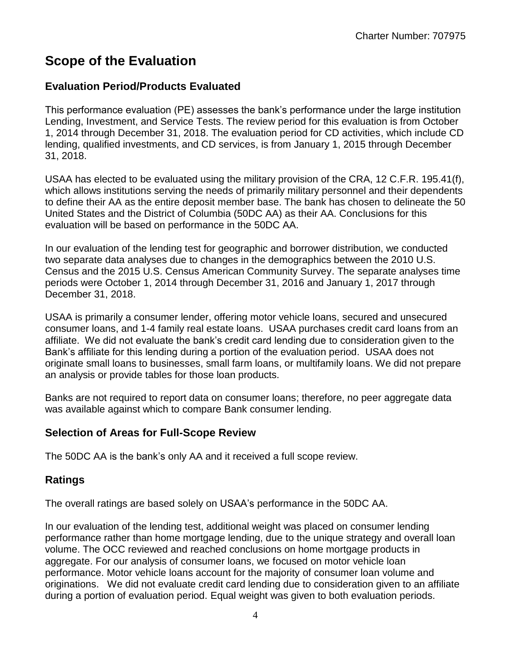## <span id="page-5-0"></span>**Scope of the Evaluation**

### **Evaluation Period/Products Evaluated**

This performance evaluation (PE) assesses the bank's performance under the large institution Lending, Investment, and Service Tests. The review period for this evaluation is from October 1, 2014 through December 31, 2018. The evaluation period for CD activities, which include CD lending, qualified investments, and CD services, is from January 1, 2015 through December 31, 2018.

USAA has elected to be evaluated using the military provision of the CRA, 12 C.F.R. 195.41(f), which allows institutions serving the needs of primarily military personnel and their dependents to define their AA as the entire deposit member base. The bank has chosen to delineate the 50 United States and the District of Columbia (50DC AA) as their AA. Conclusions for this evaluation will be based on performance in the 50DC AA.

In our evaluation of the lending test for geographic and borrower distribution, we conducted two separate data analyses due to changes in the demographics between the 2010 U.S. Census and the 2015 U.S. Census American Community Survey. The separate analyses time periods were October 1, 2014 through December 31, 2016 and January 1, 2017 through December 31, 2018.

USAA is primarily a consumer lender, offering motor vehicle loans, secured and unsecured consumer loans, and 1-4 family real estate loans. USAA purchases credit card loans from an affiliate. We did not evaluate the bank's credit card lending due to consideration given to the Bank's affiliate for this lending during a portion of the evaluation period. USAA does not originate small loans to businesses, small farm loans, or multifamily loans. We did not prepare an analysis or provide tables for those loan products.

Banks are not required to report data on consumer loans; therefore, no peer aggregate data was available against which to compare Bank consumer lending.

### **Selection of Areas for Full-Scope Review**

The 50DC AA is the bank's only AA and it received a full scope review.

### **Ratings**

The overall ratings are based solely on USAA's performance in the 50DC AA.

In our evaluation of the lending test, additional weight was placed on consumer lending performance rather than home mortgage lending, due to the unique strategy and overall loan volume. The OCC reviewed and reached conclusions on home mortgage products in aggregate. For our analysis of consumer loans, we focused on motor vehicle loan performance. Motor vehicle loans account for the majority of consumer loan volume and originations. We did not evaluate credit card lending due to consideration given to an affiliate during a portion of evaluation period. Equal weight was given to both evaluation periods.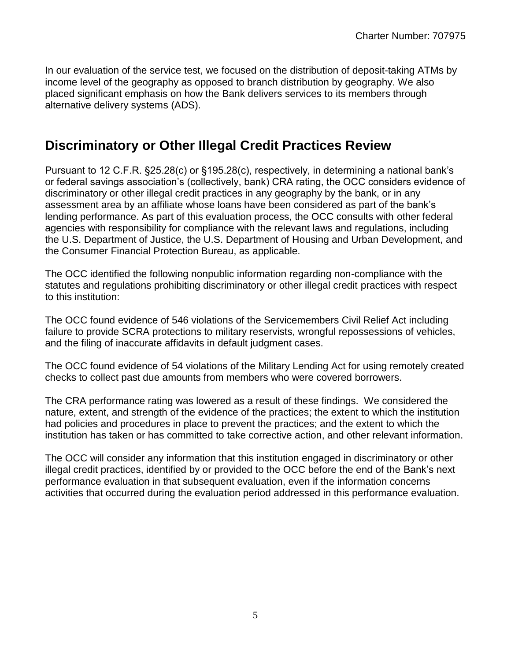In our evaluation of the service test, we focused on the distribution of deposit-taking ATMs by income level of the geography as opposed to branch distribution by geography. We also placed significant emphasis on how the Bank delivers services to its members through alternative delivery systems (ADS).

## <span id="page-6-0"></span>**Discriminatory or Other Illegal Credit Practices Review**

Pursuant to 12 C.F.R. §25.28(c) or §195.28(c), respectively, in determining a national bank's or federal savings association's (collectively, bank) CRA rating, the OCC considers evidence of discriminatory or other illegal credit practices in any geography by the bank, or in any assessment area by an affiliate whose loans have been considered as part of the bank's lending performance. As part of this evaluation process, the OCC consults with other federal agencies with responsibility for compliance with the relevant laws and regulations, including the U.S. Department of Justice, the U.S. Department of Housing and Urban Development, and the Consumer Financial Protection Bureau, as applicable.

The OCC identified the following nonpublic information regarding non-compliance with the statutes and regulations prohibiting discriminatory or other illegal credit practices with respect to this institution:

The OCC found evidence of 546 violations of the Servicemembers Civil Relief Act including failure to provide SCRA protections to military reservists, wrongful repossessions of vehicles, and the filing of inaccurate affidavits in default judgment cases.

The OCC found evidence of 54 violations of the Military Lending Act for using remotely created checks to collect past due amounts from members who were covered borrowers.

The CRA performance rating was lowered as a result of these findings. We considered the nature, extent, and strength of the evidence of the practices; the extent to which the institution had policies and procedures in place to prevent the practices; and the extent to which the institution has taken or has committed to take corrective action, and other relevant information.

The OCC will consider any information that this institution engaged in discriminatory or other illegal credit practices, identified by or provided to the OCC before the end of the Bank's next performance evaluation in that subsequent evaluation, even if the information concerns activities that occurred during the evaluation period addressed in this performance evaluation.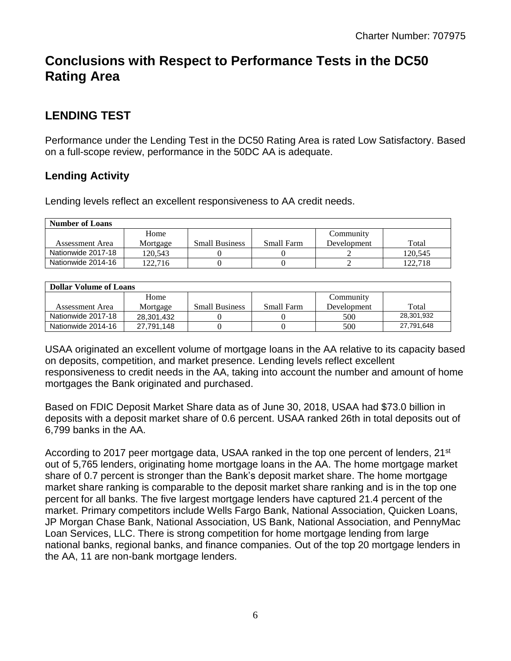## <span id="page-7-0"></span>**Conclusions with Respect to Performance Tests in the DC50 Rating Area**

### <span id="page-7-1"></span>**LENDING TEST**

Performance under the Lending Test in the DC50 Rating Area is rated Low Satisfactory. Based on a full-scope review, performance in the 50DC AA is adequate.

### **Lending Activity**

Lending levels reflect an excellent responsiveness to AA credit needs.

| <b>Number of Loans</b> |          |                       |            |             |         |
|------------------------|----------|-----------------------|------------|-------------|---------|
|                        | Home     |                       |            | Community   |         |
| Assessment Area        | Mortgage | <b>Small Business</b> | Small Farm | Development | Total   |
| Nationwide 2017-18     | 120.543  |                       |            |             | 120.545 |
| Nationwide 2014-16     | 122.716  |                       |            |             | 122.718 |

| <b>Dollar Volume of Loans</b> |            |                       |            |             |            |
|-------------------------------|------------|-----------------------|------------|-------------|------------|
|                               | Home       |                       |            | Community   |            |
| Assessment Area               | Mortgage   | <b>Small Business</b> | Small Farm | Development | Total      |
| Nationwide 2017-18            | 28.301.432 |                       |            | 500         | 28,301,932 |
| Nationwide 2014-16            | 27.791.148 |                       |            | 500         | 27,791,648 |

USAA originated an excellent volume of mortgage loans in the AA relative to its capacity based on deposits, competition, and market presence. Lending levels reflect excellent responsiveness to credit needs in the AA, taking into account the number and amount of home mortgages the Bank originated and purchased.

Based on FDIC Deposit Market Share data as of June 30, 2018, USAA had \$73.0 billion in deposits with a deposit market share of 0.6 percent. USAA ranked 26th in total deposits out of 6,799 banks in the AA.

According to 2017 peer mortgage data, USAA ranked in the top one percent of lenders,  $21<sup>st</sup>$ out of 5,765 lenders, originating home mortgage loans in the AA. The home mortgage market share of 0.7 percent is stronger than the Bank's deposit market share. The home mortgage market share ranking is comparable to the deposit market share ranking and is in the top one percent for all banks. The five largest mortgage lenders have captured 21.4 percent of the market. Primary competitors include Wells Fargo Bank, National Association, Quicken Loans, JP Morgan Chase Bank, National Association, US Bank, National Association, and PennyMac Loan Services, LLC. There is strong competition for home mortgage lending from large national banks, regional banks, and finance companies. Out of the top 20 mortgage lenders in the AA, 11 are non-bank mortgage lenders.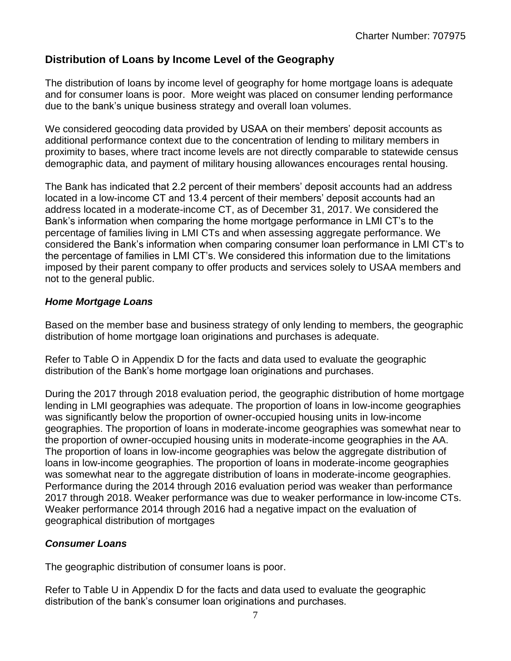### **Distribution of Loans by Income Level of the Geography**

The distribution of loans by income level of geography for home mortgage loans is adequate and for consumer loans is poor. More weight was placed on consumer lending performance due to the bank's unique business strategy and overall loan volumes.

We considered geocoding data provided by USAA on their members' deposit accounts as additional performance context due to the concentration of lending to military members in proximity to bases, where tract income levels are not directly comparable to statewide census demographic data, and payment of military housing allowances encourages rental housing.

The Bank has indicated that 2.2 percent of their members' deposit accounts had an address located in a low-income CT and 13.4 percent of their members' deposit accounts had an address located in a moderate-income CT, as of December 31, 2017. We considered the Bank's information when comparing the home mortgage performance in LMI CT's to the percentage of families living in LMI CTs and when assessing aggregate performance. We considered the Bank's information when comparing consumer loan performance in LMI CT's to the percentage of families in LMI CT's. We considered this information due to the limitations imposed by their parent company to offer products and services solely to USAA members and not to the general public.

#### *Home Mortgage Loans*

Based on the member base and business strategy of only lending to members, the geographic distribution of home mortgage loan originations and purchases is adequate.

Refer to Table O in Appendix D for the facts and data used to evaluate the geographic distribution of the Bank's home mortgage loan originations and purchases.

During the 2017 through 2018 evaluation period, the geographic distribution of home mortgage lending in LMI geographies was adequate. The proportion of loans in low-income geographies was significantly below the proportion of owner-occupied housing units in low-income geographies. The proportion of loans in moderate-income geographies was somewhat near to the proportion of owner-occupied housing units in moderate-income geographies in the AA. The proportion of loans in low-income geographies was below the aggregate distribution of loans in low-income geographies. The proportion of loans in moderate-income geographies was somewhat near to the aggregate distribution of loans in moderate-income geographies. Performance during the 2014 through 2016 evaluation period was weaker than performance 2017 through 2018. Weaker performance was due to weaker performance in low-income CTs. Weaker performance 2014 through 2016 had a negative impact on the evaluation of geographical distribution of mortgages

#### *Consumer Loans*

The geographic distribution of consumer loans is poor.

Refer to Table U in Appendix D for the facts and data used to evaluate the geographic distribution of the bank's consumer loan originations and purchases.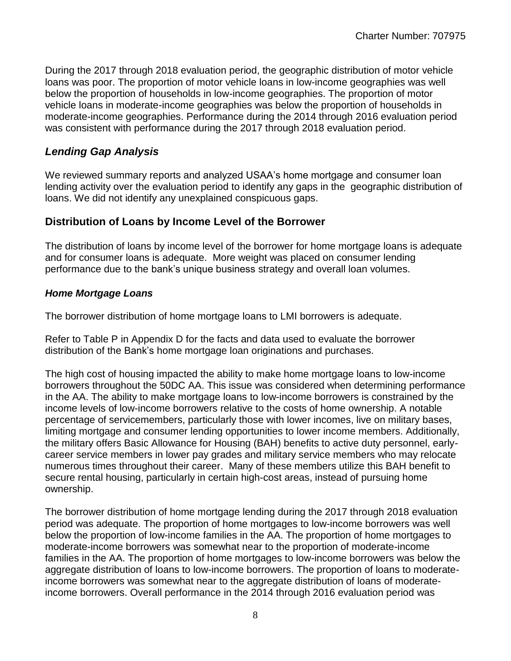During the 2017 through 2018 evaluation period, the geographic distribution of motor vehicle loans was poor. The proportion of motor vehicle loans in low-income geographies was well below the proportion of households in low-income geographies. The proportion of motor vehicle loans in moderate-income geographies was below the proportion of households in moderate-income geographies. Performance during the 2014 through 2016 evaluation period was consistent with performance during the 2017 through 2018 evaluation period.

### *Lending Gap Analysis*

We reviewed summary reports and analyzed USAA's home mortgage and consumer loan lending activity over the evaluation period to identify any gaps in the geographic distribution of loans. We did not identify any unexplained conspicuous gaps.

#### **Distribution of Loans by Income Level of the Borrower**

The distribution of loans by income level of the borrower for home mortgage loans is adequate and for consumer loans is adequate. More weight was placed on consumer lending performance due to the bank's unique business strategy and overall loan volumes.

#### *Home Mortgage Loans*

The borrower distribution of home mortgage loans to LMI borrowers is adequate.

Refer to Table P in Appendix D for the facts and data used to evaluate the borrower distribution of the Bank's home mortgage loan originations and purchases.

The high cost of housing impacted the ability to make home mortgage loans to low-income borrowers throughout the 50DC AA. This issue was considered when determining performance in the AA. The ability to make mortgage loans to low-income borrowers is constrained by the income levels of low-income borrowers relative to the costs of home ownership. A notable percentage of servicemembers, particularly those with lower incomes, live on military bases, limiting mortgage and consumer lending opportunities to lower income members. Additionally, the military offers Basic Allowance for Housing (BAH) benefits to active duty personnel, earlycareer service members in lower pay grades and military service members who may relocate numerous times throughout their career. Many of these members utilize this BAH benefit to secure rental housing, particularly in certain high-cost areas, instead of pursuing home ownership.

The borrower distribution of home mortgage lending during the 2017 through 2018 evaluation period was adequate. The proportion of home mortgages to low-income borrowers was well below the proportion of low-income families in the AA. The proportion of home mortgages to moderate-income borrowers was somewhat near to the proportion of moderate-income families in the AA. The proportion of home mortgages to low-income borrowers was below the aggregate distribution of loans to low-income borrowers. The proportion of loans to moderateincome borrowers was somewhat near to the aggregate distribution of loans of moderateincome borrowers. Overall performance in the 2014 through 2016 evaluation period was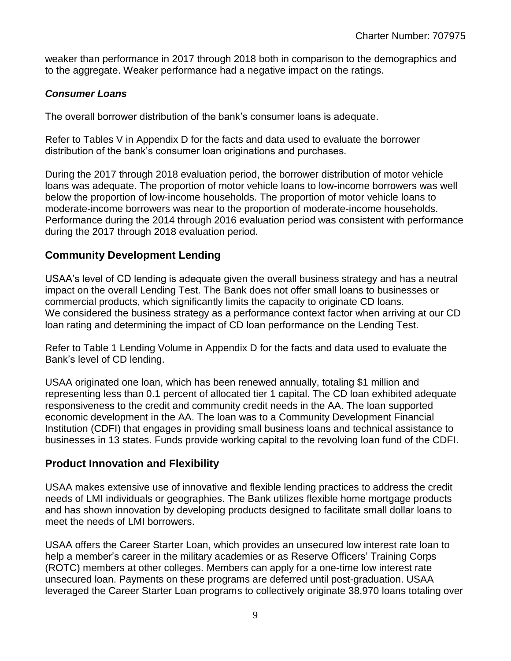weaker than performance in 2017 through 2018 both in comparison to the demographics and to the aggregate. Weaker performance had a negative impact on the ratings.

#### *Consumer Loans*

The overall borrower distribution of the bank's consumer loans is adequate.

Refer to Tables V in Appendix D for the facts and data used to evaluate the borrower distribution of the bank's consumer loan originations and purchases.

During the 2017 through 2018 evaluation period, the borrower distribution of motor vehicle loans was adequate. The proportion of motor vehicle loans to low-income borrowers was well below the proportion of low-income households. The proportion of motor vehicle loans to moderate-income borrowers was near to the proportion of moderate-income households. Performance during the 2014 through 2016 evaluation period was consistent with performance during the 2017 through 2018 evaluation period.

#### **Community Development Lending**

USAA's level of CD lending is adequate given the overall business strategy and has a neutral impact on the overall Lending Test. The Bank does not offer small loans to businesses or commercial products, which significantly limits the capacity to originate CD loans. We considered the business strategy as a performance context factor when arriving at our CD loan rating and determining the impact of CD loan performance on the Lending Test.

Refer to Table 1 Lending Volume in Appendix D for the facts and data used to evaluate the Bank's level of CD lending.

USAA originated one loan, which has been renewed annually, totaling \$1 million and representing less than 0.1 percent of allocated tier 1 capital. The CD loan exhibited adequate responsiveness to the credit and community credit needs in the AA. The loan supported economic development in the AA. The loan was to a Community Development Financial Institution (CDFI) that engages in providing small business loans and technical assistance to businesses in 13 states. Funds provide working capital to the revolving loan fund of the CDFI.

#### **Product Innovation and Flexibility**

USAA makes extensive use of innovative and flexible lending practices to address the credit needs of LMI individuals or geographies. The Bank utilizes flexible home mortgage products and has shown innovation by developing products designed to facilitate small dollar loans to meet the needs of LMI borrowers.

USAA offers the Career Starter Loan, which provides an unsecured low interest rate loan to help a member's career in the military academies or as Reserve Officers' Training Corps (ROTC) members at other colleges. Members can apply for a one-time low interest rate unsecured loan. Payments on these programs are deferred until post-graduation. USAA leveraged the Career Starter Loan programs to collectively originate 38,970 loans totaling over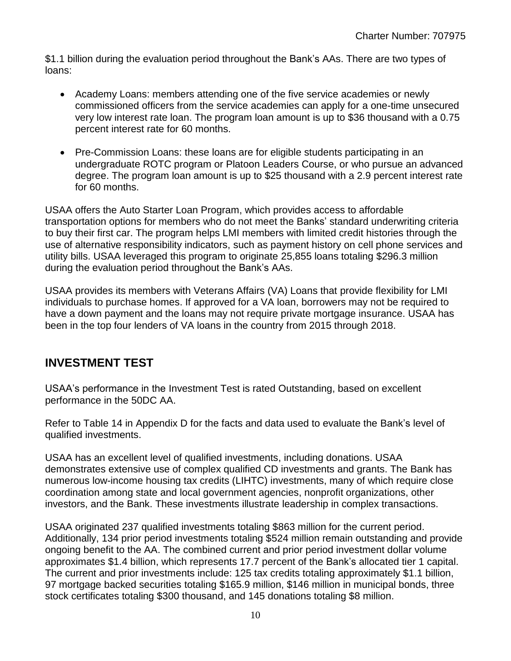\$1.1 billion during the evaluation period throughout the Bank's AAs. There are two types of loans:

- Academy Loans: members attending one of the five service academies or newly commissioned officers from the service academies can apply for a one-time unsecured very low interest rate loan. The program loan amount is up to \$36 thousand with a 0.75 percent interest rate for 60 months.
- Pre-Commission Loans: these loans are for eligible students participating in an undergraduate ROTC program or Platoon Leaders Course, or who pursue an advanced degree. The program loan amount is up to \$25 thousand with a 2.9 percent interest rate for 60 months.

USAA offers the Auto Starter Loan Program, which provides access to affordable transportation options for members who do not meet the Banks' standard underwriting criteria to buy their first car. The program helps LMI members with limited credit histories through the use of alternative responsibility indicators, such as payment history on cell phone services and utility bills. USAA leveraged this program to originate 25,855 loans totaling \$296.3 million during the evaluation period throughout the Bank's AAs.

USAA provides its members with Veterans Affairs (VA) Loans that provide flexibility for LMI individuals to purchase homes. If approved for a VA loan, borrowers may not be required to have a down payment and the loans may not require private mortgage insurance. USAA has been in the top four lenders of VA loans in the country from 2015 through 2018.

### <span id="page-11-0"></span>**INVESTMENT TEST**

USAA's performance in the Investment Test is rated Outstanding, based on excellent performance in the 50DC AA.

Refer to Table 14 in Appendix D for the facts and data used to evaluate the Bank's level of qualified investments.

USAA has an excellent level of qualified investments, including donations. USAA demonstrates extensive use of complex qualified CD investments and grants. The Bank has numerous low-income housing tax credits (LIHTC) investments, many of which require close coordination among state and local government agencies, nonprofit organizations, other investors, and the Bank. These investments illustrate leadership in complex transactions.

USAA originated 237 qualified investments totaling \$863 million for the current period. Additionally, 134 prior period investments totaling \$524 million remain outstanding and provide ongoing benefit to the AA. The combined current and prior period investment dollar volume approximates \$1.4 billion, which represents 17.7 percent of the Bank's allocated tier 1 capital. The current and prior investments include: 125 tax credits totaling approximately \$1.1 billion, 97 mortgage backed securities totaling \$165.9 million, \$146 million in municipal bonds, three stock certificates totaling \$300 thousand, and 145 donations totaling \$8 million.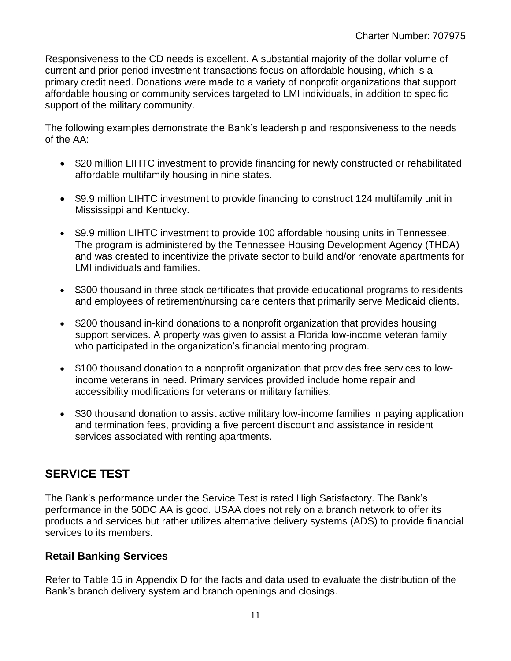Responsiveness to the CD needs is excellent. A substantial majority of the dollar volume of current and prior period investment transactions focus on affordable housing, which is a primary credit need. Donations were made to a variety of nonprofit organizations that support affordable housing or community services targeted to LMI individuals, in addition to specific support of the military community.

The following examples demonstrate the Bank's leadership and responsiveness to the needs of the AA:

- \$20 million LIHTC investment to provide financing for newly constructed or rehabilitated affordable multifamily housing in nine states.
- \$9.9 million LIHTC investment to provide financing to construct 124 multifamily unit in Mississippi and Kentucky.
- \$9.9 million LIHTC investment to provide 100 affordable housing units in Tennessee. The program is administered by the Tennessee Housing Development Agency (THDA) and was created to incentivize the private sector to build and/or renovate apartments for LMI individuals and families.
- \$300 thousand in three stock certificates that provide educational programs to residents and employees of retirement/nursing care centers that primarily serve Medicaid clients.
- \$200 thousand in-kind donations to a nonprofit organization that provides housing support services. A property was given to assist a Florida low-income veteran family who participated in the organization's financial mentoring program.
- \$100 thousand donation to a nonprofit organization that provides free services to lowincome veterans in need. Primary services provided include home repair and accessibility modifications for veterans or military families.
- \$30 thousand donation to assist active military low-income families in paying application and termination fees, providing a five percent discount and assistance in resident services associated with renting apartments.

## <span id="page-12-0"></span>**SERVICE TEST**

The Bank's performance under the Service Test is rated High Satisfactory. The Bank's performance in the 50DC AA is good. USAA does not rely on a branch network to offer its products and services but rather utilizes alternative delivery systems (ADS) to provide financial services to its members.

### **Retail Banking Services**

Refer to Table 15 in Appendix D for the facts and data used to evaluate the distribution of the Bank's branch delivery system and branch openings and closings.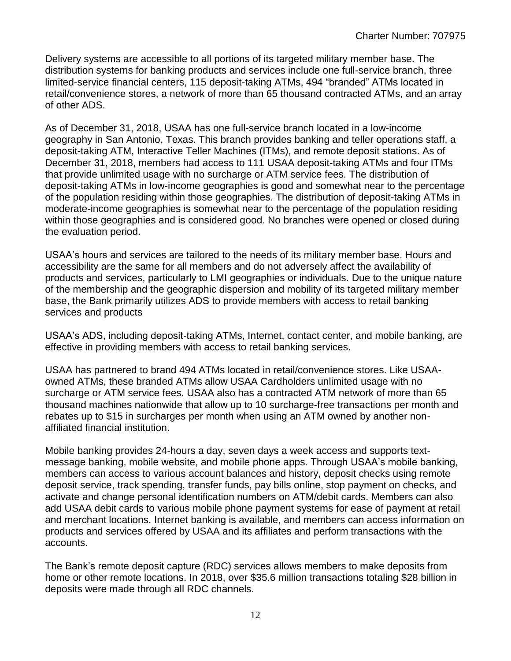Delivery systems are accessible to all portions of its targeted military member base. The distribution systems for banking products and services include one full-service branch, three limited-service financial centers, 115 deposit-taking ATMs, 494 "branded" ATMs located in retail/convenience stores, a network of more than 65 thousand contracted ATMs, and an array of other ADS.

As of December 31, 2018, USAA has one full-service branch located in a low-income geography in San Antonio, Texas. This branch provides banking and teller operations staff, a deposit-taking ATM, Interactive Teller Machines (ITMs), and remote deposit stations. As of December 31, 2018, members had access to 111 USAA deposit-taking ATMs and four ITMs that provide unlimited usage with no surcharge or ATM service fees. The distribution of deposit-taking ATMs in low-income geographies is good and somewhat near to the percentage of the population residing within those geographies. The distribution of deposit-taking ATMs in moderate-income geographies is somewhat near to the percentage of the population residing within those geographies and is considered good. No branches were opened or closed during the evaluation period.

USAA's hours and services are tailored to the needs of its military member base. Hours and accessibility are the same for all members and do not adversely affect the availability of products and services, particularly to LMI geographies or individuals. Due to the unique nature of the membership and the geographic dispersion and mobility of its targeted military member base, the Bank primarily utilizes ADS to provide members with access to retail banking services and products

USAA's ADS, including deposit-taking ATMs, Internet, contact center, and mobile banking, are effective in providing members with access to retail banking services.

USAA has partnered to brand 494 ATMs located in retail/convenience stores. Like USAAowned ATMs, these branded ATMs allow USAA Cardholders unlimited usage with no surcharge or ATM service fees. USAA also has a contracted ATM network of more than 65 thousand machines nationwide that allow up to 10 surcharge-free transactions per month and rebates up to \$15 in surcharges per month when using an ATM owned by another nonaffiliated financial institution.

Mobile banking provides 24-hours a day, seven days a week access and supports textmessage banking, mobile website, and mobile phone apps. Through USAA's mobile banking, members can access to various account balances and history, deposit checks using remote deposit service, track spending, transfer funds, pay bills online, stop payment on checks, and activate and change personal identification numbers on ATM/debit cards. Members can also add USAA debit cards to various mobile phone payment systems for ease of payment at retail and merchant locations. Internet banking is available, and members can access information on products and services offered by USAA and its affiliates and perform transactions with the accounts.

The Bank's remote deposit capture (RDC) services allows members to make deposits from home or other remote locations. In 2018, over \$35.6 million transactions totaling \$28 billion in deposits were made through all RDC channels.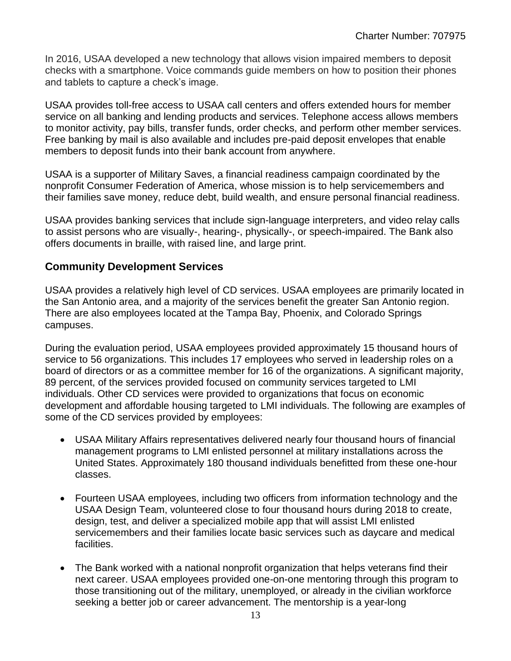In 2016, USAA developed a new technology that allows vision impaired members to deposit checks with a smartphone. Voice commands guide members on how to position their phones and tablets to capture a check's image.

USAA provides toll-free access to USAA call centers and offers extended hours for member service on all banking and lending products and services. Telephone access allows members to monitor activity, pay bills, transfer funds, order checks, and perform other member services. Free banking by mail is also available and includes pre-paid deposit envelopes that enable members to deposit funds into their bank account from anywhere.

USAA is a supporter of Military Saves, a financial readiness campaign coordinated by the nonprofit Consumer Federation of America, whose mission is to help servicemembers and their families save money, reduce debt, build wealth, and ensure personal financial readiness.

USAA provides banking services that include sign-language interpreters, and video relay calls to assist persons who are visually-, hearing-, physically-, or speech-impaired. The Bank also offers documents in braille, with raised line, and large print.

#### **Community Development Services**

USAA provides a relatively high level of CD services. USAA employees are primarily located in the San Antonio area, and a majority of the services benefit the greater San Antonio region. There are also employees located at the Tampa Bay, Phoenix, and Colorado Springs campuses.

During the evaluation period, USAA employees provided approximately 15 thousand hours of service to 56 organizations. This includes 17 employees who served in leadership roles on a board of directors or as a committee member for 16 of the organizations. A significant majority, 89 percent, of the services provided focused on community services targeted to LMI individuals. Other CD services were provided to organizations that focus on economic development and affordable housing targeted to LMI individuals. The following are examples of some of the CD services provided by employees:

- USAA Military Affairs representatives delivered nearly four thousand hours of financial management programs to LMI enlisted personnel at military installations across the United States. Approximately 180 thousand individuals benefitted from these one-hour classes.
- Fourteen USAA employees, including two officers from information technology and the USAA Design Team, volunteered close to four thousand hours during 2018 to create, design, test, and deliver a specialized mobile app that will assist LMI enlisted servicemembers and their families locate basic services such as daycare and medical facilities.
- The Bank worked with a national nonprofit organization that helps veterans find their next career. USAA employees provided one-on-one mentoring through this program to those transitioning out of the military, unemployed, or already in the civilian workforce seeking a better job or career advancement. The mentorship is a year-long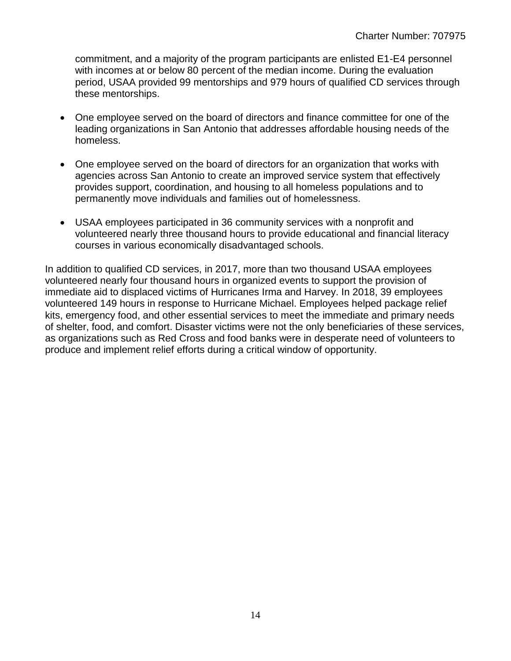commitment, and a majority of the program participants are enlisted E1-E4 personnel with incomes at or below 80 percent of the median income. During the evaluation period, USAA provided 99 mentorships and 979 hours of qualified CD services through these mentorships.

- One employee served on the board of directors and finance committee for one of the leading organizations in San Antonio that addresses affordable housing needs of the homeless.
- One employee served on the board of directors for an organization that works with agencies across San Antonio to create an improved service system that effectively provides support, coordination, and housing to all homeless populations and to permanently move individuals and families out of homelessness.
- USAA employees participated in 36 community services with a nonprofit and volunteered nearly three thousand hours to provide educational and financial literacy courses in various economically disadvantaged schools.

In addition to qualified CD services, in 2017, more than two thousand USAA employees volunteered nearly four thousand hours in organized events to support the provision of immediate aid to displaced victims of Hurricanes Irma and Harvey. In 2018, 39 employees volunteered 149 hours in response to Hurricane Michael. Employees helped package relief kits, emergency food, and other essential services to meet the immediate and primary needs of shelter, food, and comfort. Disaster victims were not the only beneficiaries of these services, as organizations such as Red Cross and food banks were in desperate need of volunteers to produce and implement relief efforts during a critical window of opportunity.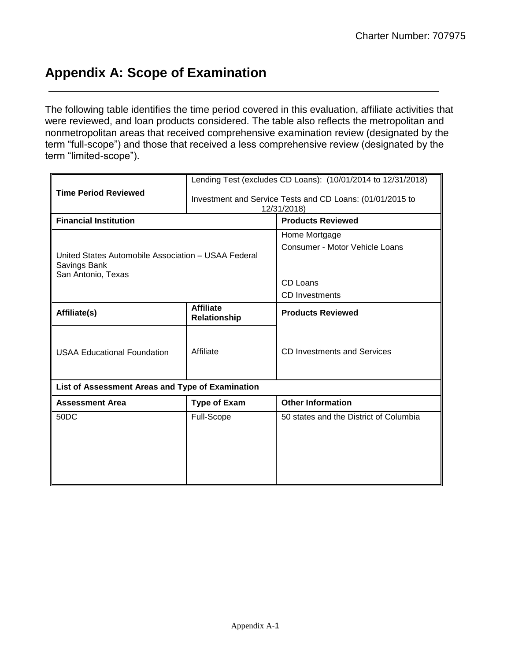## <span id="page-16-0"></span>**Appendix A: Scope of Examination**

The following table identifies the time period covered in this evaluation, affiliate activities that were reviewed, and loan products considered. The table also reflects the metropolitan and nonmetropolitan areas that received comprehensive examination review (designated by the term "full-scope") and those that received a less comprehensive review (designated by the term "limited-scope").

|                                                                                           |                                  | Lending Test (excludes CD Loans): (10/01/2014 to 12/31/2018)             |  |  |  |  |  |
|-------------------------------------------------------------------------------------------|----------------------------------|--------------------------------------------------------------------------|--|--|--|--|--|
| <b>Time Period Reviewed</b>                                                               |                                  | Investment and Service Tests and CD Loans: (01/01/2015 to<br>12/31/2018) |  |  |  |  |  |
| <b>Financial Institution</b>                                                              |                                  | <b>Products Reviewed</b>                                                 |  |  |  |  |  |
|                                                                                           |                                  | Home Mortgage                                                            |  |  |  |  |  |
| United States Automobile Association - USAA Federal<br>Savings Bank<br>San Antonio, Texas |                                  | Consumer - Motor Vehicle Loans                                           |  |  |  |  |  |
|                                                                                           |                                  | CD Loans                                                                 |  |  |  |  |  |
|                                                                                           |                                  | <b>CD</b> Investments                                                    |  |  |  |  |  |
| Affiliate(s)                                                                              | <b>Affiliate</b><br>Relationship | <b>Products Reviewed</b>                                                 |  |  |  |  |  |
| <b>USAA Educational Foundation</b>                                                        | Affiliate                        | CD Investments and Services                                              |  |  |  |  |  |
| List of Assessment Areas and Type of Examination                                          |                                  |                                                                          |  |  |  |  |  |
| <b>Assessment Area</b>                                                                    | <b>Type of Exam</b>              | <b>Other Information</b>                                                 |  |  |  |  |  |
| 50 <sub>D</sub> C                                                                         | Full-Scope                       | 50 states and the District of Columbia                                   |  |  |  |  |  |
|                                                                                           |                                  |                                                                          |  |  |  |  |  |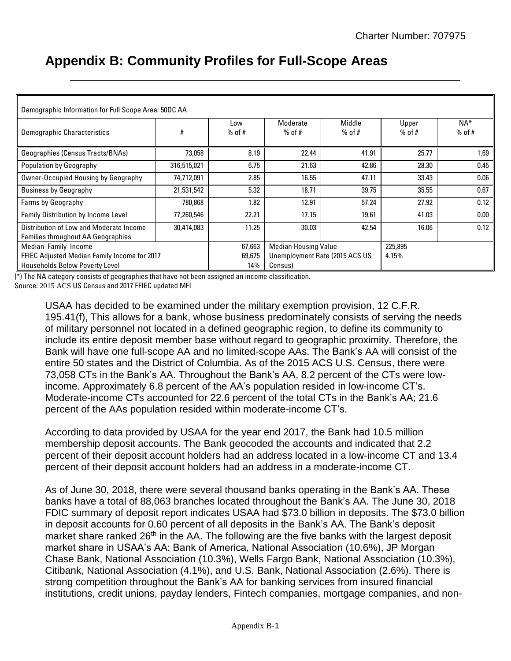## <span id="page-17-0"></span>**Appendix B: Community Profiles for Full-Scope Areas**

| Demographic Information for Full Scope Area: 50DC AA |             |          |                                |          |          |          |
|------------------------------------------------------|-------------|----------|--------------------------------|----------|----------|----------|
|                                                      |             | Low      | Moderate                       | Middle   | Upper    | $NA*$    |
| Demographic Characteristics                          | #           | $%$ of # | $%$ of #                       | $%$ of # | $%$ of # | $%$ of # |
| Geographies (Census Tracts/BNAs)                     | 73,058      | 8.19     | 22.44                          | 41.91    | 25.77    | 1.69     |
| <b>Population by Geography</b>                       | 316,515,021 | 6.75     | 21.63                          | 42.86    | 28.30    | 0.45     |
| Owner-Occupied Housing by Geography                  | 74,712,091  | 2.85     | 16.55                          | 47.11    | 33.43    | 0.06     |
| <b>Business by Geography</b>                         | 21,531,542  | 5.32     | 18.71                          | 39.75    | 35.55    | 0.67     |
| Farms by Geography                                   | 780,868     | 1.82     | 12.91                          | 57.24    | 27.92    | 0.12     |
| <b>Family Distribution by Income Level</b>           | 77.260.546  | 22.21    | 17.15                          | 19.61    | 41.03    | 0.00     |
| Distribution of Low and Moderate Income              | 30.414.083  | 11.25    | 30.03                          | 42.54    | 16.06    | 0.12     |
| <b>Families throughout AA Geographies</b>            |             |          |                                |          |          |          |
| Median Family Income                                 |             | 67,663   | <b>Median Housing Value</b>    |          | 225,895  |          |
| FFIEC Adjusted Median Family Income for 2017         |             | 69,675   | Unemployment Rate (2015 ACS US |          | 4.15%    |          |
| <b>Households Below Poverty Level</b>                |             | 14%      | Census)                        |          |          |          |

(\*) The NA category consists of geographies that have not been assigned an income classification.

Source: 2015 ACS US Census and 2017 FFIEC updated MFI

USAA has decided to be examined under the military exemption provision, 12 C.F.R. 195.41(f), This allows for a bank, whose business predominately consists of serving the needs of military personnel not located in a defined geographic region, to define its community to include its entire deposit member base without regard to geographic proximity. Therefore, the Bank will have one full-scope AA and no limited-scope AAs. The Bank's AA will consist of the entire 50 states and the District of Columbia. As of the 2015 ACS U.S. Census, there were 73,058 CTs in the Bank's AA. Throughout the Bank's AA, 8.2 percent of the CTs were lowincome. Approximately 6.8 percent of the AA's population resided in low-income CT's. Moderate-income CTs accounted for 22.6 percent of the total CTs in the Bank's AA; 21.6 percent of the AAs population resided within moderate-income CT's.

According to data provided by USAA for the year end 2017, the Bank had 10.5 million membership deposit accounts. The Bank geocoded the accounts and indicated that 2.2 percent of their deposit account holders had an address located in a low-income CT and 13.4 percent of their deposit account holders had an address in a moderate-income CT.

As of June 30, 2018, there were several thousand banks operating in the Bank's AA. These banks have a total of 88,063 branches located throughout the Bank's AA. The June 30, 2018 FDIC summary of deposit report indicates USAA had \$73.0 billion in deposits. The \$73.0 billion in deposit accounts for 0.60 percent of all deposits in the Bank's AA. The Bank's deposit market share ranked 26<sup>th</sup> in the AA. The following are the five banks with the largest deposit market share in USAA's AA: Bank of America, National Association (10.6%), JP Morgan Chase Bank, National Association (10.3%), Wells Fargo Bank, National Association (10.3%), Citibank, National Association (4.1%), and U.S. Bank, National Association (2.6%). There is strong competition throughout the Bank's AA for banking services from insured financial institutions, credit unions, payday lenders, Fintech companies, mortgage companies, and non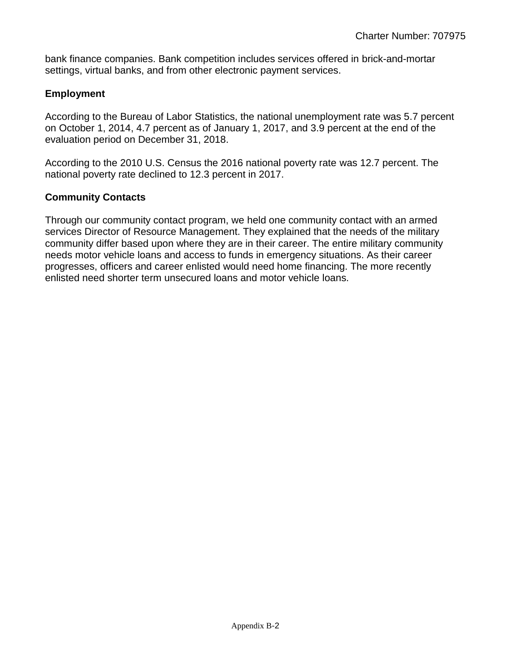bank finance companies. Bank competition includes services offered in brick-and-mortar settings, virtual banks, and from other electronic payment services.

#### **Employment**

According to the Bureau of Labor Statistics, the national unemployment rate was 5.7 percent on October 1, 2014, 4.7 percent as of January 1, 2017, and 3.9 percent at the end of the evaluation period on December 31, 2018.

According to the 2010 U.S. Census the 2016 national poverty rate was 12.7 percent. The national poverty rate declined to 12.3 percent in 2017.

#### **Community Contacts**

Through our community contact program, we held one community contact with an armed services Director of Resource Management. They explained that the needs of the military community differ based upon where they are in their career. The entire military community needs motor vehicle loans and access to funds in emergency situations. As their career progresses, officers and career enlisted would need home financing. The more recently enlisted need shorter term unsecured loans and motor vehicle loans.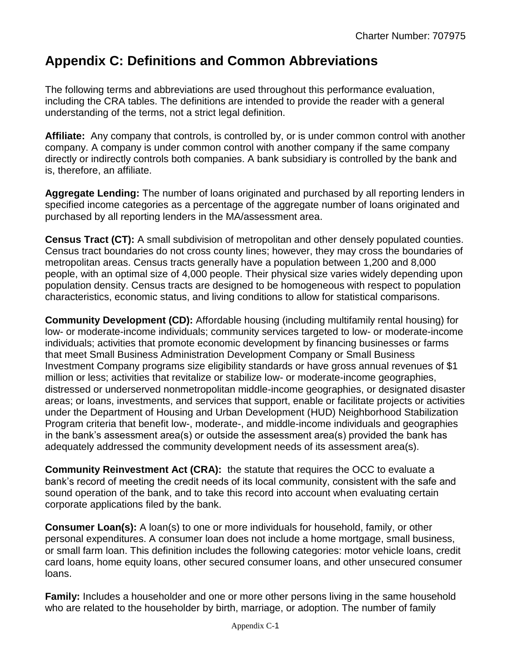## <span id="page-19-0"></span>**Appendix C: Definitions and Common Abbreviations**

The following terms and abbreviations are used throughout this performance evaluation, including the CRA tables. The definitions are intended to provide the reader with a general understanding of the terms, not a strict legal definition.

**Affiliate:** Any company that controls, is controlled by, or is under common control with another company. A company is under common control with another company if the same company directly or indirectly controls both companies. A bank subsidiary is controlled by the bank and is, therefore, an affiliate.

**Aggregate Lending:** The number of loans originated and purchased by all reporting lenders in specified income categories as a percentage of the aggregate number of loans originated and purchased by all reporting lenders in the MA/assessment area.

**Census Tract (CT):** A small subdivision of metropolitan and other densely populated counties. Census tract boundaries do not cross county lines; however, they may cross the boundaries of metropolitan areas. Census tracts generally have a population between 1,200 and 8,000 people, with an optimal size of 4,000 people. Their physical size varies widely depending upon population density. Census tracts are designed to be homogeneous with respect to population characteristics, economic status, and living conditions to allow for statistical comparisons.

**Community Development (CD):** Affordable housing (including multifamily rental housing) for low- or moderate-income individuals; community services targeted to low- or moderate-income individuals; activities that promote economic development by financing businesses or farms that meet Small Business Administration Development Company or Small Business Investment Company programs size eligibility standards or have gross annual revenues of \$1 million or less; activities that revitalize or stabilize low- or moderate-income geographies, distressed or underserved nonmetropolitan middle-income geographies, or designated disaster areas; or loans, investments, and services that support, enable or facilitate projects or activities under the Department of Housing and Urban Development (HUD) Neighborhood Stabilization Program criteria that benefit low-, moderate-, and middle-income individuals and geographies in the bank's assessment area(s) or outside the assessment area(s) provided the bank has adequately addressed the community development needs of its assessment area(s).

**Community Reinvestment Act (CRA):** the statute that requires the OCC to evaluate a bank's record of meeting the credit needs of its local community, consistent with the safe and sound operation of the bank, and to take this record into account when evaluating certain corporate applications filed by the bank.

**Consumer Loan(s):** A loan(s) to one or more individuals for household, family, or other personal expenditures. A consumer loan does not include a home mortgage, small business, or small farm loan. This definition includes the following categories: motor vehicle loans, credit card loans, home equity loans, other secured consumer loans, and other unsecured consumer loans.

**Family:** Includes a householder and one or more other persons living in the same household who are related to the householder by birth, marriage, or adoption. The number of family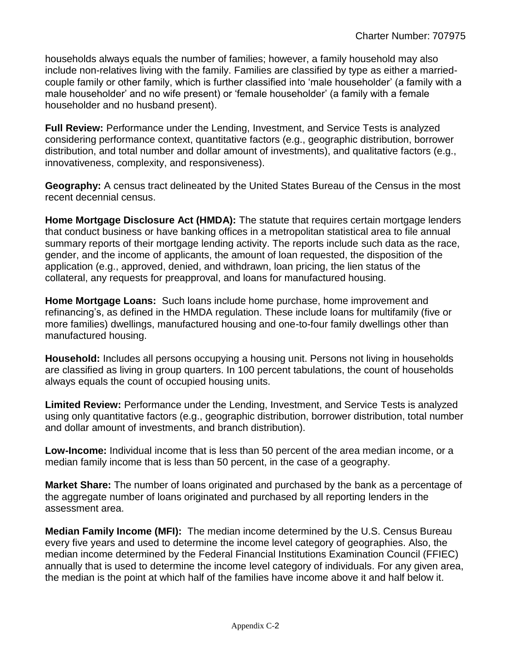households always equals the number of families; however, a family household may also include non-relatives living with the family. Families are classified by type as either a marriedcouple family or other family, which is further classified into 'male householder' (a family with a male householder' and no wife present) or 'female householder' (a family with a female householder and no husband present).

**Full Review:** Performance under the Lending, Investment, and Service Tests is analyzed considering performance context, quantitative factors (e.g., geographic distribution, borrower distribution, and total number and dollar amount of investments), and qualitative factors (e.g., innovativeness, complexity, and responsiveness).

**Geography:** A census tract delineated by the United States Bureau of the Census in the most recent decennial census.

**Home Mortgage Disclosure Act (HMDA):** The statute that requires certain mortgage lenders that conduct business or have banking offices in a metropolitan statistical area to file annual summary reports of their mortgage lending activity. The reports include such data as the race, gender, and the income of applicants, the amount of loan requested, the disposition of the application (e.g., approved, denied, and withdrawn, loan pricing, the lien status of the collateral, any requests for preapproval, and loans for manufactured housing.

**Home Mortgage Loans:** Such loans include home purchase, home improvement and refinancing's, as defined in the HMDA regulation. These include loans for multifamily (five or more families) dwellings, manufactured housing and one-to-four family dwellings other than manufactured housing.

**Household:** Includes all persons occupying a housing unit. Persons not living in households are classified as living in group quarters. In 100 percent tabulations, the count of households always equals the count of occupied housing units.

**Limited Review:** Performance under the Lending, Investment, and Service Tests is analyzed using only quantitative factors (e.g., geographic distribution, borrower distribution, total number and dollar amount of investments, and branch distribution).

**Low-Income:** Individual income that is less than 50 percent of the area median income, or a median family income that is less than 50 percent, in the case of a geography.

**Market Share:** The number of loans originated and purchased by the bank as a percentage of the aggregate number of loans originated and purchased by all reporting lenders in the assessment area.

**Median Family Income (MFI):** The median income determined by the U.S. Census Bureau every five years and used to determine the income level category of geographies. Also, the median income determined by the Federal Financial Institutions Examination Council (FFIEC) annually that is used to determine the income level category of individuals. For any given area, the median is the point at which half of the families have income above it and half below it.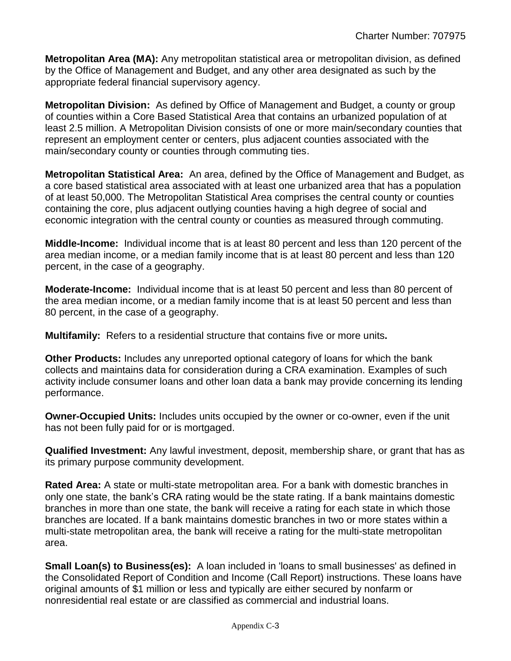**Metropolitan Area (MA):** Any metropolitan statistical area or metropolitan division, as defined by the Office of Management and Budget, and any other area designated as such by the appropriate federal financial supervisory agency.

**Metropolitan Division:** As defined by Office of Management and Budget, a county or group of counties within a Core Based Statistical Area that contains an urbanized population of at least 2.5 million. A Metropolitan Division consists of one or more main/secondary counties that represent an employment center or centers, plus adjacent counties associated with the main/secondary county or counties through commuting ties.

**Metropolitan Statistical Area:** An area, defined by the Office of Management and Budget, as a core based statistical area associated with at least one urbanized area that has a population of at least 50,000. The Metropolitan Statistical Area comprises the central county or counties containing the core, plus adjacent outlying counties having a high degree of social and economic integration with the central county or counties as measured through commuting.

**Middle-Income:** Individual income that is at least 80 percent and less than 120 percent of the area median income, or a median family income that is at least 80 percent and less than 120 percent, in the case of a geography.

**Moderate-Income:** Individual income that is at least 50 percent and less than 80 percent of the area median income, or a median family income that is at least 50 percent and less than 80 percent, in the case of a geography.

**Multifamily:** Refers to a residential structure that contains five or more units**.**

**Other Products:** Includes any unreported optional category of loans for which the bank collects and maintains data for consideration during a CRA examination. Examples of such activity include consumer loans and other loan data a bank may provide concerning its lending performance.

**Owner-Occupied Units:** Includes units occupied by the owner or co-owner, even if the unit has not been fully paid for or is mortgaged.

**Qualified Investment:** Any lawful investment, deposit, membership share, or grant that has as its primary purpose community development.

**Rated Area:** A state or multi-state metropolitan area. For a bank with domestic branches in only one state, the bank's CRA rating would be the state rating. If a bank maintains domestic branches in more than one state, the bank will receive a rating for each state in which those branches are located. If a bank maintains domestic branches in two or more states within a multi-state metropolitan area, the bank will receive a rating for the multi-state metropolitan area.

**Small Loan(s) to Business(es):** A loan included in 'loans to small businesses' as defined in the Consolidated Report of Condition and Income (Call Report) instructions. These loans have original amounts of \$1 million or less and typically are either secured by nonfarm or nonresidential real estate or are classified as commercial and industrial loans.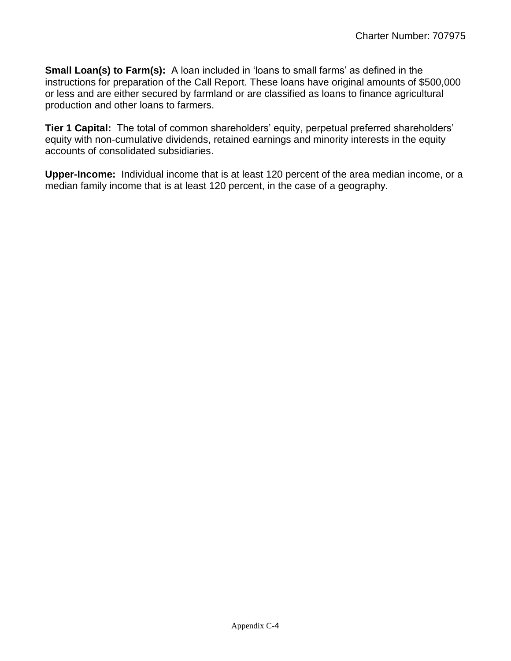**Small Loan(s) to Farm(s):** A loan included in 'loans to small farms' as defined in the instructions for preparation of the Call Report. These loans have original amounts of \$500,000 or less and are either secured by farmland or are classified as loans to finance agricultural production and other loans to farmers.

**Tier 1 Capital:** The total of common shareholders' equity, perpetual preferred shareholders' equity with non-cumulative dividends, retained earnings and minority interests in the equity accounts of consolidated subsidiaries.

**Upper-Income:** Individual income that is at least 120 percent of the area median income, or a median family income that is at least 120 percent, in the case of a geography.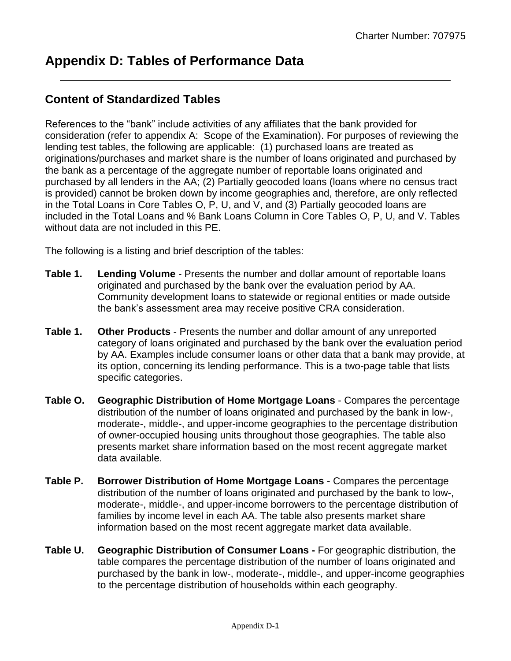### <span id="page-23-0"></span>**Content of Standardized Tables**

References to the "bank" include activities of any affiliates that the bank provided for consideration (refer to appendix A: Scope of the Examination). For purposes of reviewing the lending test tables, the following are applicable: (1) purchased loans are treated as originations/purchases and market share is the number of loans originated and purchased by the bank as a percentage of the aggregate number of reportable loans originated and purchased by all lenders in the AA; (2) Partially geocoded loans (loans where no census tract is provided) cannot be broken down by income geographies and, therefore, are only reflected in the Total Loans in Core Tables O, P, U, and V, and (3) Partially geocoded loans are included in the Total Loans and % Bank Loans Column in Core Tables O, P, U, and V. Tables without data are not included in this PE.

The following is a listing and brief description of the tables:

- **Table 1. Lending Volume** Presents the number and dollar amount of reportable loans originated and purchased by the bank over the evaluation period by AA. Community development loans to statewide or regional entities or made outside the bank's assessment area may receive positive CRA consideration.
- **Table 1. Other Products**  Presents the number and dollar amount of any unreported category of loans originated and purchased by the bank over the evaluation period by AA. Examples include consumer loans or other data that a bank may provide, at its option, concerning its lending performance. This is a two-page table that lists specific categories.
- **Table O. Geographic Distribution of Home Mortgage Loans** Compares the percentage distribution of the number of loans originated and purchased by the bank in low-, moderate-, middle-, and upper-income geographies to the percentage distribution of owner-occupied housing units throughout those geographies. The table also presents market share information based on the most recent aggregate market data available.
- **Table P. Borrower Distribution of Home Mortgage Loans** Compares the percentage distribution of the number of loans originated and purchased by the bank to low-, moderate-, middle-, and upper-income borrowers to the percentage distribution of families by income level in each AA. The table also presents market share information based on the most recent aggregate market data available.
- **Table U. Geographic Distribution of Consumer Loans -** For geographic distribution, the table compares the percentage distribution of the number of loans originated and purchased by the bank in low-, moderate-, middle-, and upper-income geographies to the percentage distribution of households within each geography.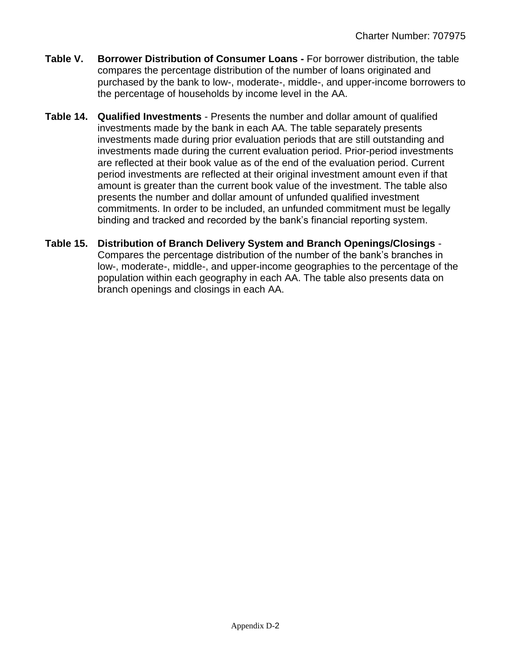- **Table V. Borrower Distribution of Consumer Loans -** For borrower distribution, the table compares the percentage distribution of the number of loans originated and purchased by the bank to low-, moderate-, middle-, and upper-income borrowers to the percentage of households by income level in the AA.
- **Table 14. Qualified Investments** Presents the number and dollar amount of qualified investments made by the bank in each AA. The table separately presents investments made during prior evaluation periods that are still outstanding and investments made during the current evaluation period. Prior-period investments are reflected at their book value as of the end of the evaluation period. Current period investments are reflected at their original investment amount even if that amount is greater than the current book value of the investment. The table also presents the number and dollar amount of unfunded qualified investment commitments. In order to be included, an unfunded commitment must be legally binding and tracked and recorded by the bank's financial reporting system.
- **Table 15. Distribution of Branch Delivery System and Branch Openings/Closings** Compares the percentage distribution of the number of the bank's branches in low-, moderate-, middle-, and upper-income geographies to the percentage of the population within each geography in each AA. The table also presents data on branch openings and closings in each AA.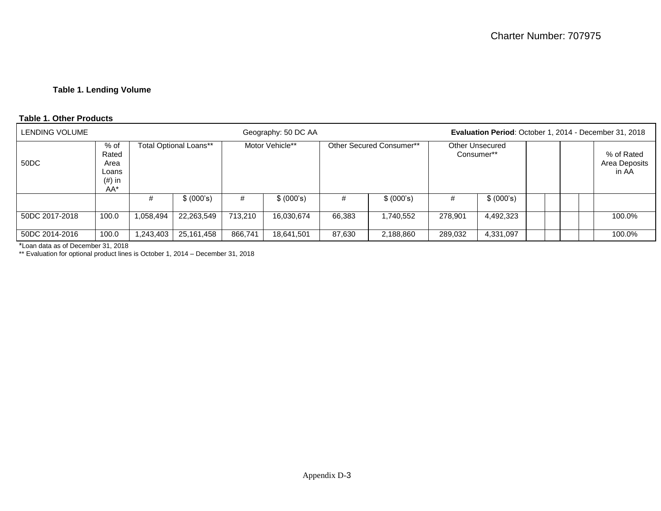#### **Table 1. Lending Volume**

#### **Table 1. Other Products**

| LENDING VOLUME |                                                       |           |                        |         | Geography: 50 DC AA |        | Evaluation Period: October 1, 2014 - December 31, 2018 |                                      |            |  |  |  |                                      |
|----------------|-------------------------------------------------------|-----------|------------------------|---------|---------------------|--------|--------------------------------------------------------|--------------------------------------|------------|--|--|--|--------------------------------------|
| 50DC           | % of<br>Rated<br>Area<br>Loans<br>$(\#)$ in<br>$AA^*$ |           | Total Optional Loans** |         | Motor Vehicle**     |        | Other Secured Consumer**                               | <b>Other Unsecured</b><br>Consumer** |            |  |  |  | % of Rated<br>Area Deposits<br>in AA |
|                |                                                       | #         | \$ (000's)             | #       | \$ (000's)          | #      | \$ (000's)                                             | #                                    | \$ (000's) |  |  |  |                                      |
| 50DC 2017-2018 | 100.0                                                 | 1,058,494 | 22,263,549             | 713,210 | 16,030,674          | 66,383 | 1,740,552                                              | 278,901                              | 4,492,323  |  |  |  | 100.0%                               |
| 50DC 2014-2016 | 100.0                                                 | 1,243,403 | 25,161,458             | 866,741 | 18,641,501          | 87,630 | 2,188,860                                              | 289,032                              | 4,331,097  |  |  |  | 100.0%                               |

\*Loan data as of December 31, 2018

\*\* Evaluation for optional product lines is October 1, 2014 – December 31, 2018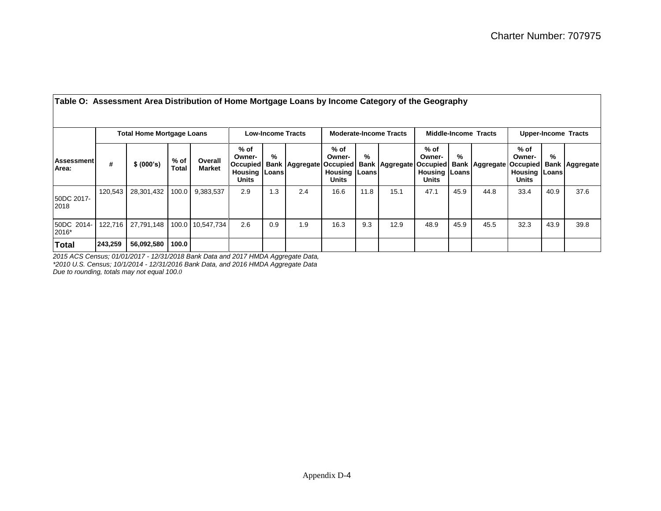|                            |                                  | rapid Or Addoddingin Arda Didnibangin or Home mongage Loand by moome oalogory or inc Ocegraphy |                      |                          |                                                                        |     |                                |                                                   |      |                       |                                                             |      |                       |                                                        |      |                                |
|----------------------------|----------------------------------|------------------------------------------------------------------------------------------------|----------------------|--------------------------|------------------------------------------------------------------------|-----|--------------------------------|---------------------------------------------------|------|-----------------------|-------------------------------------------------------------|------|-----------------------|--------------------------------------------------------|------|--------------------------------|
|                            | <b>Total Home Mortgage Loans</b> |                                                                                                |                      |                          | <b>Low-Income Tracts</b>                                               |     |                                | <b>Moderate-Income Tracts</b>                     |      |                       | <b>Middle-Income Tracts</b>                                 |      |                       | <b>Upper-Income Tracts</b>                             |      |                                |
| <b>Assessment</b><br>Area: | #                                | \$ (000's)                                                                                     | % of<br><b>Total</b> | Overall<br><b>Market</b> | % of<br>Owner-<br>Occupied<br><b>Housing   Loans  </b><br><b>Units</b> | %   | <b>Bank Aggregate Occupied</b> | % of<br>Owner-<br><b>Housing   Loans</b><br>Units | $\%$ | <b>Bank Aggregate</b> | % of<br>Owner-<br>Occupied<br><b>Housing Loans</b><br>Units | %    | <b>Bank Aggregate</b> | % of<br>Owner-<br><b>Housing Loans</b><br><b>Units</b> | %    | <b>Occupied Bank Aggregate</b> |
| 50DC 2017-<br>2018         | 120,543                          | 28,301,432                                                                                     | 100.0                | 9,383,537                | 2.9                                                                    | 1.3 | 2.4                            | 16.6                                              | 11.8 | 15.1                  | 47.1                                                        | 45.9 | 44.8                  | 33.4                                                   | 40.9 | 37.6                           |
| 50DC 2014-<br>2016*        | 122,716                          | 27,791,148                                                                                     |                      | 100.0 10,547,734         | 2.6                                                                    | 0.9 | 1.9                            | 16.3                                              | 9.3  | 12.9                  | 48.9                                                        | 45.9 | 45.5                  | 32.3                                                   | 43.9 | 39.8                           |
| <b>Total</b>               | 243,259                          | 56,092,580   100.0                                                                             |                      |                          |                                                                        |     |                                |                                                   |      |                       |                                                             |      |                       |                                                        |      |                                |

**Table O: Assessment Area Distribution of Home Mortgage Loans by Income Category of the Geography**

*2015 ACS Census; 01/01/2017 - 12/31/2018 Bank Data and 2017 HMDA Aggregate Data, \*2010 U.S. Census; 10/1/2014 - 12/31/2016 Bank Data, and 2016 HMDA Aggregate Data Due to rounding, totals may not equal 100.0*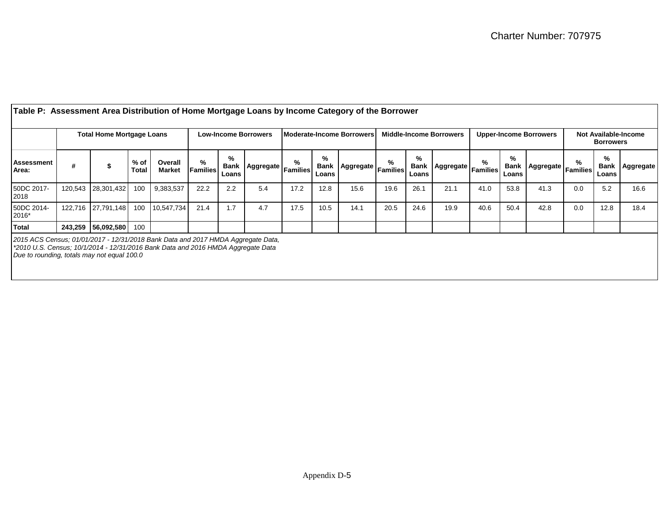| Table P: Assessment Area Distribution of Home Mortgage Loans by Income Category of the Borrower                                                                            |         |                                                                                                     |               |                          |                                |                           |                           |                               |                           |                    |                                          |                           |                          |      |            |                         |     |                           |           |
|----------------------------------------------------------------------------------------------------------------------------------------------------------------------------|---------|-----------------------------------------------------------------------------------------------------|---------------|--------------------------|--------------------------------|---------------------------|---------------------------|-------------------------------|---------------------------|--------------------|------------------------------------------|---------------------------|--------------------------|------|------------|-------------------------|-----|---------------------------|-----------|
|                                                                                                                                                                            |         | <b>Total Home Mortgage Loans</b><br><b>Moderate-Income Borrowers</b><br><b>Low-Income Borrowers</b> |               |                          | <b>Middle-Income Borrowers</b> |                           |                           | <b>Upper-Income Borrowers</b> |                           |                    | Not Available-Income<br><b>Borrowers</b> |                           |                          |      |            |                         |     |                           |           |
| Assessment<br>Area:                                                                                                                                                        |         | \$                                                                                                  | % of<br>Total | Overall<br><b>Market</b> | %<br><b>Families</b>           | %<br><b>Bank</b><br>Loans | .、 Aggregate Families   「 | %                             | %<br><b>Bank</b><br>Loans | Aggregate Families | ℅                                        | %<br><b>Bank</b><br>Loans | Aggregate   Families   F | %    | %<br>Loans | Bank Aggregate Families | %   | %<br><b>Bank</b><br>Loans | Aggregate |
| 50DC 2017-<br>2018                                                                                                                                                         | 120,543 | 28,301,432                                                                                          | 100           | 9,383,537                | 22.2                           | 2.2                       | 5.4                       | 17.2                          | 12.8                      | 15.6               | 19.6                                     | 26.1                      | 21.1                     | 41.0 | 53.8       | 41.3                    | 0.0 | 5.2                       | 16.6      |
| 50DC 2014-<br>2016*                                                                                                                                                        |         | 122.716 27.791.148                                                                                  | 100           | 10,547,734               | 21.4                           | 1.7                       | 4.7                       | 17.5                          | 10.5                      | 14.1               | 20.5                                     | 24.6                      | 19.9                     | 40.6 | 50.4       | 42.8                    | 0.0 | 12.8                      | 18.4      |
| <b>Total</b>                                                                                                                                                               | 243,259 | $\mid 56,092,580 \mid 100 \mid$                                                                     |               |                          |                                |                           |                           |                               |                           |                    |                                          |                           |                          |      |            |                         |     |                           |           |
| 2015 ACS Census; 01/01/2017 - 12/31/2018 Bank Data and 2017 HMDA Aggregate Data,<br>$*2010$ U.S. Census; $10/1/2014$ - $12/31/2016$ Bank Data and 2016 HMDA Aggregate Data |         |                                                                                                     |               |                          |                                |                           |                           |                               |                           |                    |                                          |                           |                          |      |            |                         |     |                           |           |

*Due to rounding, totals may not equal 100.0*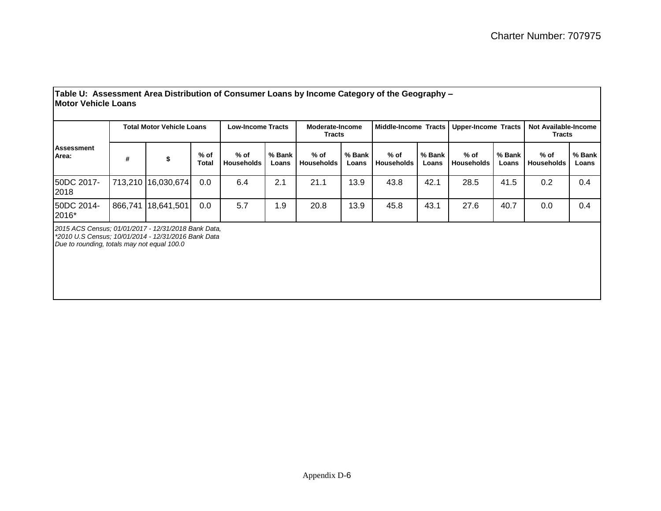| lMotor Vehicle Loans             |  |                                |                                                |                 |                                  |                 |                             |                 |                             |                                                                                                                       |                                              |                 |
|----------------------------------|--|--------------------------------|------------------------------------------------|-----------------|----------------------------------|-----------------|-----------------------------|-----------------|-----------------------------|-----------------------------------------------------------------------------------------------------------------------|----------------------------------------------|-----------------|
| <b>Total Motor Vehicle Loans</b> |  |                                | <b>Low-Income Tracts</b>                       |                 | Moderate-Income<br><b>Tracts</b> |                 |                             |                 | <b>Upper-Income Tracts</b>  |                                                                                                                       | <b>Not Available-Income</b><br><b>Tracts</b> |                 |
| #                                |  | $%$ of<br>Total                | % of<br><b>Households</b>                      | % Bank<br>Loans | $%$ of<br><b>Households</b>      | % Bank<br>Loans | $%$ of<br><b>Households</b> | % Bank<br>Loans | $%$ of<br><b>Households</b> | % Bank<br>Loans                                                                                                       | % of<br><b>Households</b>                    | % Bank<br>Loans |
|                                  |  | 0.0                            | 6.4                                            | 2.1             | 21.1                             | 13.9            | 43.8                        | 42.1            | 28.5                        | 41.5                                                                                                                  | 0.2                                          | 0.4             |
| 866,741                          |  | 0.0                            | 5.7                                            | 1.9             | 20.8                             | 13.9            | 45.8                        | 43.1            | 27.6                        | 40.7                                                                                                                  | 0.0                                          | 0.4             |
|                                  |  | $0.015, 100, 0$ $0.101, 0.017$ | 713,210 16,030,674<br>18,641,501<br>$\sqrt{2}$ |                 |                                  |                 |                             |                 |                             | Table U: Assessment Area Distribution of Consumer Loans by Income Category of the Geography -<br>Middle-Income Tracts |                                              |                 |

*2015 ACS Census; 01/01/2017 - 12/31/2018 Bank Data, \*2010 U.S Census; 10/01/2014 - 12/31/2016 Bank Data Due to rounding, totals may not equal 100.0*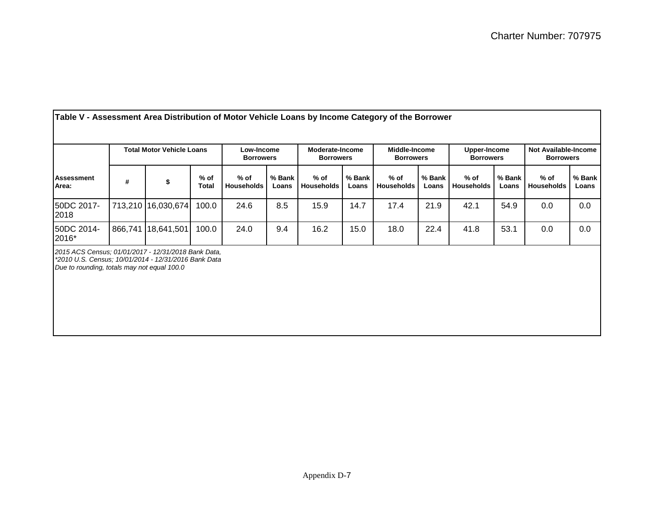|                                                                                                                                                            |         | <b>Total Motor Vehicle Loans</b> |                        | Low-Income<br><b>Borrowers</b> |                 | Moderate-Income<br><b>Borrowers</b> |                 | Middle-Income<br><b>Borrowers</b> |                 | Upper-Income<br><b>Borrowers</b> |                 | <b>Not Available-Income</b><br><b>Borrowers</b> |                 |
|------------------------------------------------------------------------------------------------------------------------------------------------------------|---------|----------------------------------|------------------------|--------------------------------|-----------------|-------------------------------------|-----------------|-----------------------------------|-----------------|----------------------------------|-----------------|-------------------------------------------------|-----------------|
| <b>Assessment</b><br>Area:                                                                                                                                 | #       | \$                               | $%$ of<br><b>Total</b> | % of<br><b>Households</b>      | % Bank<br>Loans | $%$ of<br>Households                | % Bank<br>Loans | $%$ of<br>Households              | % Bank<br>Loans | $%$ of<br>Households             | % Bank<br>Loans | $%$ of<br><b>Households</b>                     | % Bank<br>Loans |
| 50DC 2017-<br>2018                                                                                                                                         |         | 713,210 16,030,674               | 100.0                  | 24.6                           | 8.5             | 15.9                                | 14.7            | 17.4                              | 21.9            | 42.1                             | 54.9            | 0.0                                             | 0.0             |
| 50DC 2014-<br>2016*                                                                                                                                        | 866,741 | 18,641,501                       | 100.0                  | 24.0                           | 9.4             | 16.2                                | 15.0            | 18.0                              | 22.4            | 41.8                             | 53.1            | 0.0                                             | 0.0             |
| 2015 ACS Census; 01/01/2017 - 12/31/2018 Bank Data,<br>*2010 U.S. Census; 10/01/2014 - 12/31/2016 Bank Data<br>Due to rounding, totals may not equal 100.0 |         |                                  |                        |                                |                 |                                     |                 |                                   |                 |                                  |                 |                                                 |                 |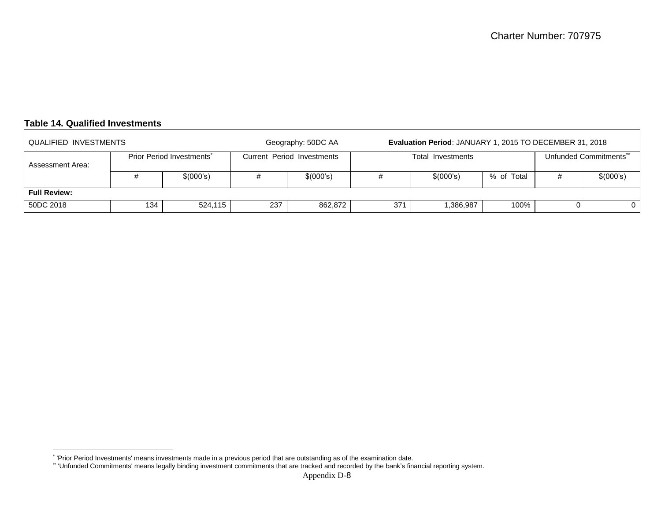### **Table 14. Qualified Investments**

| QUALIFIED INVESTMENTS |     |                                       | Geography: 50DC AA | Evaluation Period: JANUARY 1, 2015 TO DECEMBER 31, 2018 |     |                   |                       |  |           |  |  |  |  |
|-----------------------|-----|---------------------------------------|--------------------|---------------------------------------------------------|-----|-------------------|-----------------------|--|-----------|--|--|--|--|
| Assessment Area:      |     | Prior Period Investments <sup>*</sup> |                    | Current Period Investments                              |     | Total Investments | Unfunded Commitments" |  |           |  |  |  |  |
|                       |     | \$(000's)                             |                    | \$(000's)                                               |     | \$(000's)         | % of Total            |  | \$(000's) |  |  |  |  |
| <b>Full Review:</b>   |     |                                       |                    |                                                         |     |                   |                       |  |           |  |  |  |  |
| 50DC 2018             | 134 | 524,115                               | 237                | 862,872                                                 | 371 | 1,386,987         | 100%                  |  |           |  |  |  |  |

 \* 'Prior Period Investments' means investments made in a previous period that are outstanding as of the examination date.

<sup>\*\*</sup> 'Unfunded Commitments' means legally binding investment commitments that are tracked and recorded by the bank's financial reporting system.